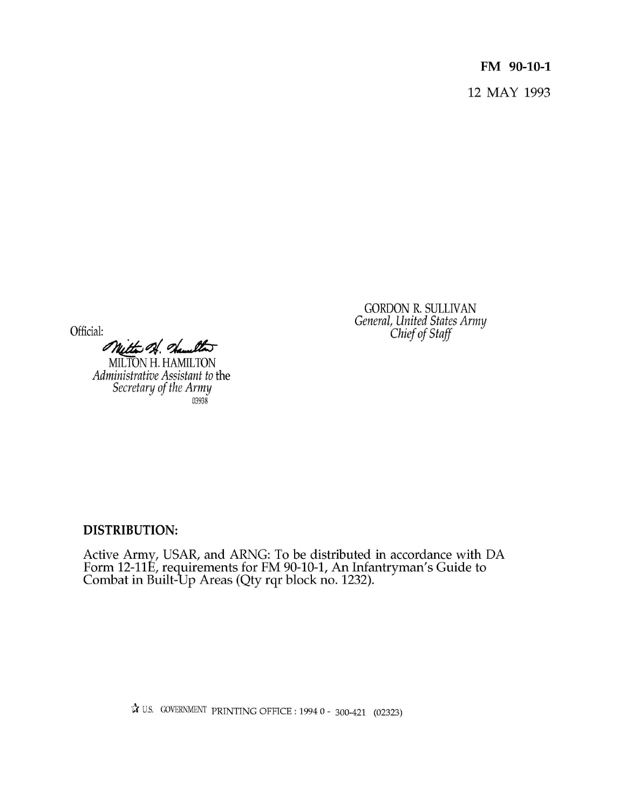**FM 90-10-1** 12 MAY 1993

GORDON R. SULLIVAN General, United States Army Chief of Staff

Official:

Witter of Samulton

MILTON H. HAMILTON Administrative Assistant to the Secretary of the Army 03938

**DISTRIBUTION:**

Active Army, USAR, and ARNG: To be distributed in accordance with DA Form 12-11E, requirements for FM 90-10-1, An Infantryman's Guide to Combat in Built-Up Areas (Qty rqr block no. 1232).

 $\lambda$  U.S. GOVERNMENT PRINTING OFFICE: 1994 0 - 300-421 (02323)